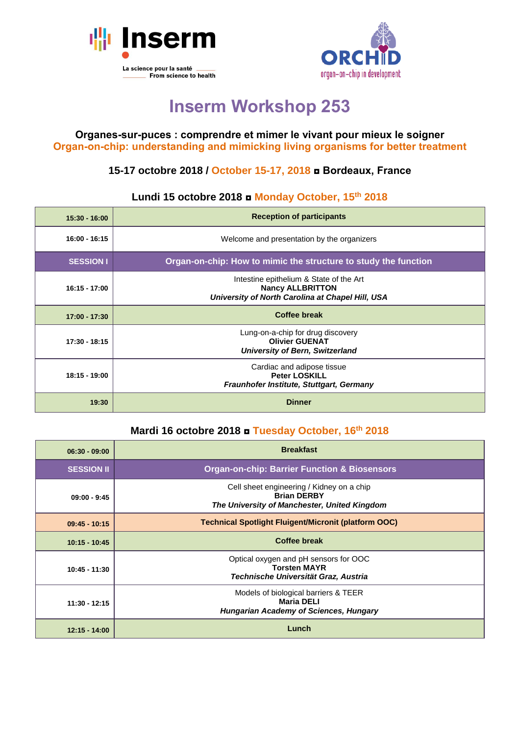



# **Inserm Workshop 253**

#### **Organes-sur-puces : comprendre et mimer le vivant pour mieux le soigner Organ-on-chip: understanding and mimicking living organisms for better treatment**

## **15-17 octobre 2018 / October 15-17, 2018 ◘ Bordeaux, France**

### **Lundi 15 octobre 2018 ◘ Monday October, 15th 2018**

| $15:30 - 16:00$  | <b>Reception of participants</b>                                                                                       |
|------------------|------------------------------------------------------------------------------------------------------------------------|
| 16:00 - 16:15    | Welcome and presentation by the organizers                                                                             |
| <b>SESSION I</b> | Organ-on-chip: How to mimic the structure to study the function                                                        |
| 16:15 - 17:00    | Intestine epithelium & State of the Art<br><b>Nancy ALLBRITTON</b><br>University of North Carolina at Chapel Hill, USA |
| 17:00 - 17:30    | <b>Coffee break</b>                                                                                                    |
| 17:30 - 18:15    | Lung-on-a-chip for drug discovery<br><b>Olivier GUENAT</b><br><b>University of Bern, Switzerland</b>                   |
| $18:15 - 19:00$  | Cardiac and adipose tissue<br><b>Peter LOSKILL</b><br>Fraunhofer Institute, Stuttgart, Germany                         |
| 19:30            | <b>Dinner</b>                                                                                                          |

#### **Mardi 16 octobre 2018 ◘ Tuesday October, 16th 2018**

| $06:30 - 09:00$   | <b>Breakfast</b>                                                                                                |
|-------------------|-----------------------------------------------------------------------------------------------------------------|
| <b>SESSION II</b> | <b>Organ-on-chip: Barrier Function &amp; Biosensors</b>                                                         |
| $09:00 - 9:45$    | Cell sheet engineering / Kidney on a chip<br><b>Brian DERBY</b><br>The University of Manchester, United Kingdom |
| $09:45 - 10:15$   | <b>Technical Spotlight Fluigent/Micronit (platform OOC)</b>                                                     |
| $10:15 - 10:45$   | <b>Coffee break</b>                                                                                             |
| $10:45 - 11:30$   | Optical oxygen and pH sensors for OOC<br><b>Torsten MAYR</b><br>Technische Universität Graz, Austria            |
| $11:30 - 12:15$   | Models of biological barriers & TEER<br><b>Maria DELI</b><br><b>Hungarian Academy of Sciences, Hungary</b>      |
| $12:15 - 14:00$   | Lunch                                                                                                           |